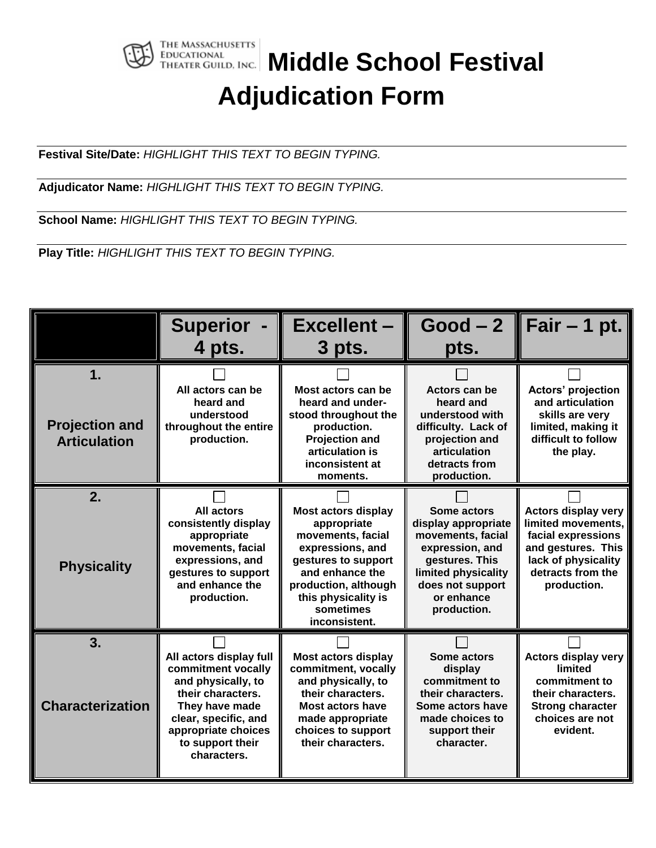

## **THE MASSACHUSETTS**<br>THEATER GUILD, INC. Middle School Festival **Adjudication Form**

**Festival Site/Date:** *HIGHLIGHT THIS TEXT TO BEGIN TYPING.*

**Adjudicator Name:** *HIGHLIGHT THIS TEXT TO BEGIN TYPING.*

**School Name:** *HIGHLIGHT THIS TEXT TO BEGIN TYPING.*

**Play Title:** *HIGHLIGHT THIS TEXT TO BEGIN TYPING.*

|                                                    | <b>Superior</b><br>4 pts.                                                                                                                                                                    | <b>Excellent-</b><br>3 pts.                                                                                                                                                                               | $Good-2$<br>pts.                                                                                                                                                     | Fair $-$ 1 pt.                                                                                                                                          |
|----------------------------------------------------|----------------------------------------------------------------------------------------------------------------------------------------------------------------------------------------------|-----------------------------------------------------------------------------------------------------------------------------------------------------------------------------------------------------------|----------------------------------------------------------------------------------------------------------------------------------------------------------------------|---------------------------------------------------------------------------------------------------------------------------------------------------------|
| 1.<br><b>Projection and</b><br><b>Articulation</b> | All actors can be<br>heard and<br>understood<br>throughout the entire<br>production.                                                                                                         | Most actors can be<br>heard and under-<br>stood throughout the<br>production.<br><b>Projection and</b><br>articulation is<br>inconsistent at<br>moments.                                                  | Actors can be<br>heard and<br>understood with<br>difficulty. Lack of<br>projection and<br>articulation<br>detracts from<br>production.                               | Actors' projection<br>and articulation<br>skills are very<br>limited, making it<br>difficult to follow<br>the play.                                     |
| 2.<br><b>Physicality</b>                           | All actors<br>consistently display<br>appropriate<br>movements, facial<br>expressions, and<br>gestures to support<br>and enhance the<br>production.                                          | <b>Most actors display</b><br>appropriate<br>movements, facial<br>expressions, and<br>gestures to support<br>and enhance the<br>production, although<br>this physicality is<br>sometimes<br>inconsistent. | Some actors<br>display appropriate<br>movements, facial<br>expression, and<br>gestures. This<br>limited physicality<br>does not support<br>or enhance<br>production. | <b>Actors display very</b><br>limited movements,<br>facial expressions<br>and gestures. This<br>lack of physicality<br>detracts from the<br>production. |
| 3.<br><b>Characterization</b>                      | All actors display full<br>commitment vocally<br>and physically, to<br>their characters.<br>They have made<br>clear, specific, and<br>appropriate choices<br>to support their<br>characters. | <b>Most actors display</b><br>commitment, vocally<br>and physically, to<br>their characters.<br><b>Most actors have</b><br>made appropriate<br>choices to support<br>their characters.                    | <b>Some actors</b><br>display<br>commitment to<br>their characters.<br>Some actors have<br>made choices to<br>support their<br>character.                            | <b>Actors display very</b><br>limited<br>commitment to<br>their characters.<br><b>Strong character</b><br>choices are not<br>evident.                   |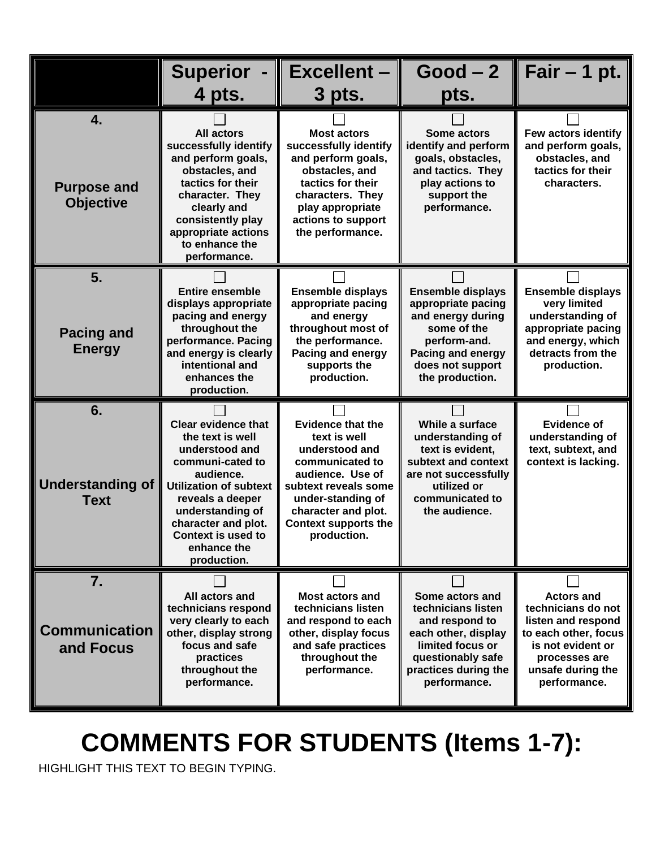|                                              | <b>Superior</b><br>4 pts.                                                                                                                                                                                                                             | <b>Excellent</b><br>3 pts.                                                                                                                                                                                          | $Good-2$<br>pts.                                                                                                                                                | Fair $-$ 1 pt.                                                                                                                                                   |
|----------------------------------------------|-------------------------------------------------------------------------------------------------------------------------------------------------------------------------------------------------------------------------------------------------------|---------------------------------------------------------------------------------------------------------------------------------------------------------------------------------------------------------------------|-----------------------------------------------------------------------------------------------------------------------------------------------------------------|------------------------------------------------------------------------------------------------------------------------------------------------------------------|
| 4.<br><b>Purpose and</b><br><b>Objective</b> | <b>All actors</b><br>successfully identify<br>and perform goals,<br>obstacles, and<br>tactics for their<br>character. They<br>clearly and<br>consistently play<br>appropriate actions<br>to enhance the<br>performance.                               | <b>Most actors</b><br>successfully identify<br>and perform goals,<br>obstacles, and<br>tactics for their<br>characters. They<br>play appropriate<br>actions to support<br>the performance.                          | Some actors<br>identify and perform<br>goals, obstacles,<br>and tactics. They<br>play actions to<br>support the<br>performance.                                 | Few actors identify<br>and perform goals,<br>obstacles, and<br>tactics for their<br>characters.                                                                  |
| 5.<br><b>Pacing and</b><br><b>Energy</b>     | <b>Entire ensemble</b><br>displays appropriate<br>pacing and energy<br>throughout the<br>performance. Pacing<br>and energy is clearly<br>intentional and<br>enhances the<br>production.                                                               | <b>Ensemble displays</b><br>appropriate pacing<br>and energy<br>throughout most of<br>the performance.<br><b>Pacing and energy</b><br>supports the<br>production.                                                   | <b>Ensemble displays</b><br>appropriate pacing<br>and energy during<br>some of the<br>perform-and.<br>Pacing and energy<br>does not support<br>the production.  | <b>Ensemble displays</b><br>very limited<br>understanding of<br>appropriate pacing<br>and energy, which<br>detracts from the<br>production.                      |
| 6.<br><b>Understanding of</b><br><b>Text</b> | <b>Clear evidence that</b><br>the text is well<br>understood and<br>communi-cated to<br>audience.<br><b>Utilization of subtext</b><br>reveals a deeper<br>understanding of<br>character and plot.<br>Context is used to<br>enhance the<br>production. | <b>Evidence that the</b><br>text is well<br>understood and<br>communicated to<br>audience. Use of<br>subtext reveals some<br>under-standing of<br>character and plot.<br><b>Context supports the</b><br>production. | While a surface<br>understanding of<br>text is evident,<br>subtext and context<br>are not successfully<br>utilized or<br>communicated to<br>the audience.       | <b>Evidence of</b><br>understanding of<br>text, subtext, and<br>context is lacking.                                                                              |
| 7.<br><b>Communication</b><br>and Focus      | All actors and<br>technicians respond<br>very clearly to each<br>other, display strong<br>focus and safe<br>practices<br>throughout the<br>performance.                                                                                               | <b>Most actors and</b><br>technicians listen<br>and respond to each<br>other, display focus<br>and safe practices<br>throughout the<br>performance.                                                                 | Some actors and<br>technicians listen<br>and respond to<br>each other, display<br>limited focus or<br>questionably safe<br>practices during the<br>performance. | <b>Actors and</b><br>technicians do not<br>listen and respond<br>to each other, focus<br>is not evident or<br>processes are<br>unsafe during the<br>performance. |

## **COMMENTS FOR STUDENTS (Items 1-7):**

HIGHLIGHT THIS TEXT TO BEGIN TYPING.